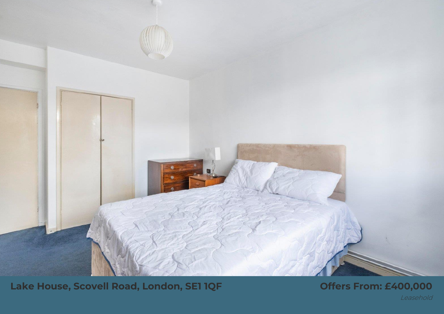

Lake House, Scovell Road, London, SE1 1QF **Offers From: £400,000** 

Leasehold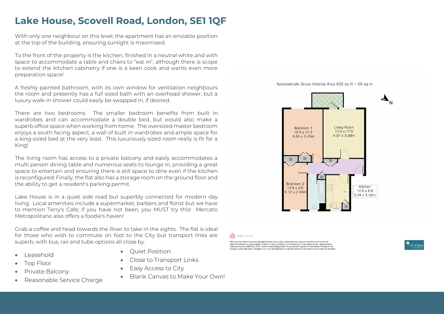# **Lake House, Scovell Road, London, SE1 1QF**

With only one neighbour on this level, the apartment has an enviable position at the top of the building, ensuring sunlight is maximised.

To the front of the property is the kitchen, finished in a neutral white and with space to accommodate a table and chairs to "eat in", although there is scope to extend the kitchen cabinetry if one is a keen cook and wants even more preparation space!

A freshly painted bathroom, with its own window for ventilation neighbours the room and presently has a full sized bath with an overhead shower, but a luxury walk-in shower could easily be swapped in, if desired.

There are two bedrooms. The smaller bedroom benefits from built in wardrobes and can accommodate a double bed, but would also make a superb office space when working from home. The oversized master bedroom enjoys a south facing aspect, a wall of built in wardrobes and ample space for a king-sized bed at the very least. This luxuriously sized room really is fit for a King!

The living room has access to a private balcony and easily accommodates a multi person dining table and numerous seats to lounge in, providing a great space to entertain and ensuring there is still space to dine even if the kitchen is reconfigured. Finally, the flat also has a storage room on the ground floor and the ability to get a resident's parking permit.

Lake House is in a quiet side road but superbly connected for modern day living. Local amenities include a supermarket, barbers and florist but we have to mention Terry's Cafe; if you have not been, you MUST try this! Mercato Metropolitano also offers a foodie's haven!

Grab a coffee and head towards the River to take in the sights. The flat is ideal for those who wish to commute on foot to the City but transport links are superb, with bus, rail and tube options all close by.

- Leasehold
- Top Floor
- Private Balcony
- Reasonable Service Charge
- Quiet Position
- Close to Transport Links
- Easy Access to City
- Blank Canvas to Make Your Own!

### Approximate Gross Internal Area 632 sq ft - 59 sq m



#### **PINK PLAN**

Although Pink Plan Itd ensures the highest level of accuracy, measurements of doors, windows and rooms are annroximate and no responsibility is taken for error, omission or misstatement. These plans are for representativ purposes only as defined by RICS code of measuring practise. No guarantee is given on total square footage of the<br>property within this plan. The figure icon is for initial guidance only and should not be relied on as a bas ightnoy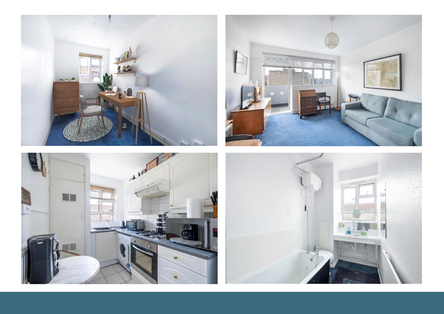